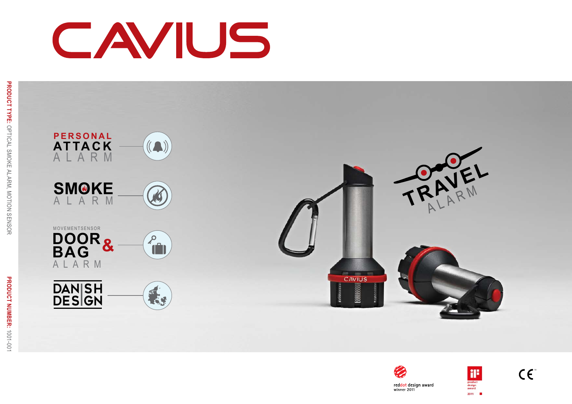# CAVIUS





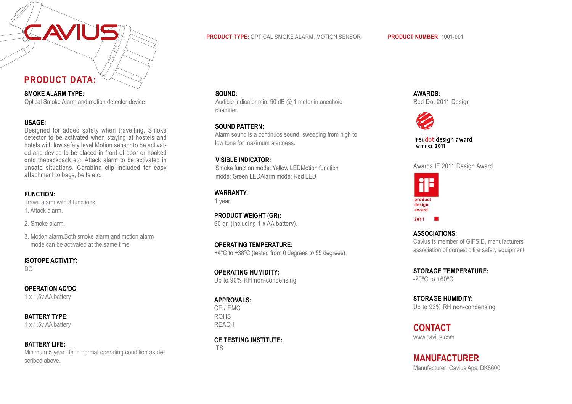# **PRODUCT DATA:**

**SMOKE ALARM TYPE:** Optical Smoke Alarm and motion detector device

#### **USAGE:**

Designed for added safety when travelling. Smoke detector to be activated when staying at hostels and hotels with low safety level.Motion sensor to be activated and device to be placed in front of door or hooked onto thebackpack etc. Attack alarm to be activated in unsafe situations. Carabina clip included for easy attachment to bags, belts etc.

#### **FUNCTION:**

Travel alarm with 3 functions: 1. Attack alarm.

2. Smoke alarm.

3. Motion alarm.Both smoke alarm and motion alarm mode can be activated at the same time.

#### **ISOTOPE ACTIVITY:**

DC

# **OPERATION AC/DC:**

1 x 1,5v AA battery

**BATTERY TYPE:**

1 x 1,5v AA battery

#### **BATTERY LIFE:** Minimum 5 year life in normal operating condition as described above.

#### **PRODUCT TYPE:** OPTICAL SMOKE ALARM, MOTION SENSOR **PRODUCT NUMBER:** 1001-001

#### **SOUND:**

Audible indicator min. 90 dB @ 1 meter in anechoic chamner.

#### **SOUND PATTERN:**

Alarm sound is a continuos sound, sweeping from high to low tone for maximum alertness.

#### **VISIBLE INDICATOR:**

Smoke function mode: Yellow LEDMotion function mode: Green LEDAlarm mode: Red LED

### **WARRANTY:**

1 year.

**PRODUCT WEIGHT (GR):** 60 gr. (including 1 x AA battery).

**OPERATING TEMPERATURE:** +4ºC to +38ºC (tested from 0 degrees to 55 degrees).

**OPERATING HUMIDITY:** Up to 90% RH non-condensing

#### **APPROVALS:**

CE / EMC ROHS REACH

# **CE TESTING INSTITUTE:**

ITS

**AWARDS:** Red Dot 2011 Design



reddot design award<br>winner 2011

Awards IF 2011 Design Award



**ASSOCIATIONS:** Cavius is member of GIFSID, manufacturers' association of domestic fire safety equipment

**STORAGE TEMPERATURE:** -20ºC to +60ºC

**STORAGE HUMIDITY:** Up to 93% RH non-condensing

www.cavius.com **CONTACT**

Manufacturer: Cavius Aps, DK8600 **MANUFACTURER**